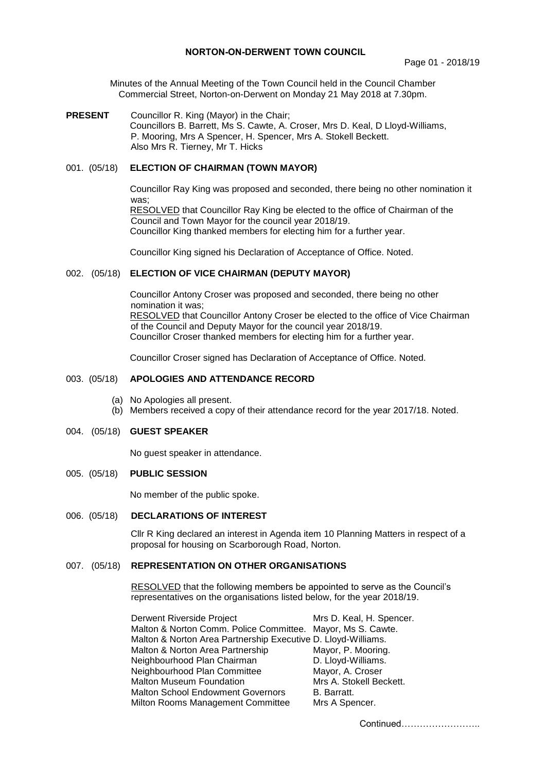## **NORTON-ON-DERWENT TOWN COUNCIL**

Minutes of the Annual Meeting of the Town Council held in the Council Chamber Commercial Street, Norton-on-Derwent on Monday 21 May 2018 at 7.30pm.

**PRESENT** Councillor R. King (Mayor) in the Chair; Councillors B. Barrett, Ms S. Cawte, A. Croser, Mrs D. Keal, D Lloyd-Williams, P. Mooring, Mrs A Spencer, H. Spencer, Mrs A. Stokell Beckett. Also Mrs R. Tierney, Mr T. Hicks

# 001. (05/18) **ELECTION OF CHAIRMAN (TOWN MAYOR)**

Councillor Ray King was proposed and seconded, there being no other nomination it was: RESOLVED that Councillor Ray King be elected to the office of Chairman of the Council and Town Mayor for the council year 2018/19.

Councillor King thanked members for electing him for a further year.

Councillor King signed his Declaration of Acceptance of Office. Noted.

#### 002. (05/18) **ELECTION OF VICE CHAIRMAN (DEPUTY MAYOR)**

Councillor Antony Croser was proposed and seconded, there being no other nomination it was; RESOLVED that Councillor Antony Croser be elected to the office of Vice Chairman of the Council and Deputy Mayor for the council year 2018/19. Councillor Croser thanked members for electing him for a further year.

Councillor Croser signed has Declaration of Acceptance of Office. Noted.

# 003. (05/18) **APOLOGIES AND ATTENDANCE RECORD**

- (a) No Apologies all present.
- (b) Members received a copy of their attendance record for the year 2017/18. Noted.

#### 004. (05/18) **GUEST SPEAKER**

No guest speaker in attendance.

#### 005. (05/18) **PUBLIC SESSION**

No member of the public spoke.

#### 006. (05/18) **DECLARATIONS OF INTEREST**

Cllr R King declared an interest in Agenda item 10 Planning Matters in respect of a proposal for housing on Scarborough Road, Norton.

#### 007. (05/18) **REPRESENTATION ON OTHER ORGANISATIONS**

RESOLVED that the following members be appointed to serve as the Council's representatives on the organisations listed below, for the year 2018/19.

| Derwent Riverside Project                                     | Mrs D. Keal, H. Spencer. |
|---------------------------------------------------------------|--------------------------|
| Malton & Norton Comm. Police Committee. Mayor, Ms S. Cawte.   |                          |
| Malton & Norton Area Partnership Executive D. Lloyd-Williams. |                          |
| Malton & Norton Area Partnership                              | Mayor, P. Mooring.       |
| Neighbourhood Plan Chairman                                   | D. Lloyd-Williams.       |
| Neighbourhood Plan Committee                                  | Mayor, A. Croser         |
| <b>Malton Museum Foundation</b>                               | Mrs A. Stokell Beckett.  |
| <b>Malton School Endowment Governors</b>                      | B. Barratt.              |
| Milton Rooms Management Committee                             | Mrs A Spencer.           |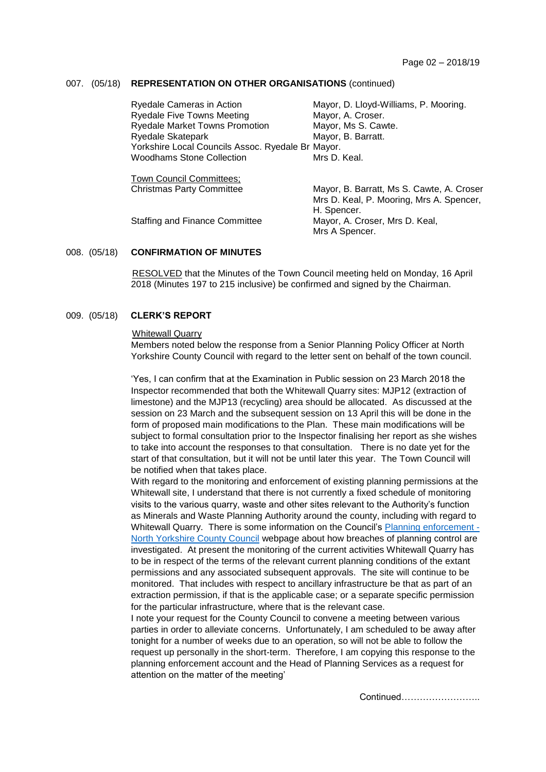### 007. (05/18) **REPRESENTATION ON OTHER ORGANISATIONS** (continued)

| Ryedale Cameras in Action                         | Mayor, D. Lloyd-Williams, P. Mooring.     |
|---------------------------------------------------|-------------------------------------------|
| <b>Ryedale Five Towns Meeting</b>                 | Mayor, A. Croser.                         |
| <b>Ryedale Market Towns Promotion</b>             | Mayor, Ms S. Cawte.                       |
| Ryedale Skatepark                                 | Mayor, B. Barratt.                        |
| Yorkshire Local Councils Assoc. Ryedale Br Mayor. |                                           |
| <b>Woodhams Stone Collection</b>                  | Mrs D. Keal.                              |
|                                                   |                                           |
| Town Council Committees;                          |                                           |
| <b>Christmas Party Committee</b>                  | Mayor, B. Barratt, Ms S. Cawte, A. Croser |
|                                                   | Mrs D. Keal, P. Mooring, Mrs A. Spencer,  |
|                                                   | H. Spencer.                               |
|                                                   |                                           |
| Staffing and Finance Committee                    | Mayor, A. Croser, Mrs D. Keal,            |

#### 008. (05/18) **CONFIRMATION OF MINUTES**

 RESOLVED that the Minutes of the Town Council meeting held on Monday, 16 April 2018 (Minutes 197 to 215 inclusive) be confirmed and signed by the Chairman.

#### 009. (05/18) **CLERK'S REPORT**

#### Whitewall Quarry

Members noted below the response from a Senior Planning Policy Officer at North Yorkshire County Council with regard to the letter sent on behalf of the town council.

'Yes, I can confirm that at the Examination in Public session on 23 March 2018 the Inspector recommended that both the Whitewall Quarry sites: MJP12 (extraction of limestone) and the MJP13 (recycling) area should be allocated. As discussed at the session on 23 March and the subsequent session on 13 April this will be done in the form of proposed main modifications to the Plan. These main modifications will be subject to formal consultation prior to the Inspector finalising her report as she wishes to take into account the responses to that consultation. There is no date yet for the start of that consultation, but it will not be until later this year. The Town Council will be notified when that takes place.

With regard to the monitoring and enforcement of existing planning permissions at the Whitewall site, I understand that there is not currently a fixed schedule of monitoring visits to the various quarry, waste and other sites relevant to the Authority's function as Minerals and Waste Planning Authority around the county, including with regard to Whitewall Quarry. There is some information on the Council's [Planning enforcement -](https://www.northyorks.gov.uk/planning-enforcement) [North Yorkshire County Council](https://www.northyorks.gov.uk/planning-enforcement) webpage about how breaches of planning control are investigated. At present the monitoring of the current activities Whitewall Quarry has to be in respect of the terms of the relevant current planning conditions of the extant permissions and any associated subsequent approvals. The site will continue to be monitored. That includes with respect to ancillary infrastructure be that as part of an extraction permission, if that is the applicable case; or a separate specific permission for the particular infrastructure, where that is the relevant case.

I note your request for the County Council to convene a meeting between various parties in order to alleviate concerns. Unfortunately, I am scheduled to be away after tonight for a number of weeks due to an operation, so will not be able to follow the request up personally in the short-term. Therefore, I am copying this response to the planning enforcement account and the Head of Planning Services as a request for attention on the matter of the meeting'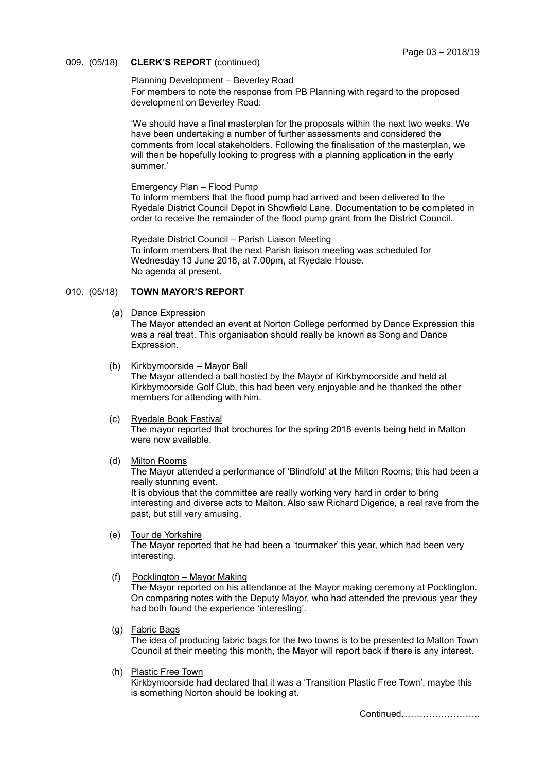### 009. (05/18) **CLERK'S REPORT** (continued)

## Planning Development – Beverley Road

For members to note the response from PB Planning with regard to the proposed development on Beverley Road:

'We should have a final masterplan for the proposals within the next two weeks. We have been undertaking a number of further assessments and considered the comments from local stakeholders. Following the finalisation of the masterplan, we will then be hopefully looking to progress with a planning application in the early summer.'

#### Emergency Plan – Flood Pump

To inform members that the flood pump had arrived and been delivered to the Ryedale District Council Depot in Showfield Lane. Documentation to be completed in order to receive the remainder of the flood pump grant from the District Council.

#### Ryedale District Council – Parish Liaison Meeting To inform members that the next Parish liaison meeting was scheduled for Wednesday 13 June 2018, at 7.00pm, at Ryedale House. No agenda at present.

# 010. (05/18) **TOWN MAYOR'S REPORT**

(a) Dance Expression

The Mayor attended an event at Norton College performed by Dance Expression this was a real treat. This organisation should really be known as Song and Dance Expression.

(b) Kirkbymoorside – Mayor Ball

The Mayor attended a ball hosted by the Mayor of Kirkbymoorside and held at Kirkbymoorside Golf Club, this had been very enjoyable and he thanked the other members for attending with him.

(c) Ryedale Book Festival

The mayor reported that brochures for the spring 2018 events being held in Malton were now available.

(d) Milton Rooms

The Mayor attended a performance of 'Blindfold' at the Milton Rooms, this had been a really stunning event.

It is obvious that the committee are really working very hard in order to bring interesting and diverse acts to Malton. Also saw Richard Digence, a real rave from the past, but still very amusing.

## (e) Tour de Yorkshire

The Mayor reported that he had been a 'tourmaker' this year, which had been very interesting.

(f) Pocklington – Mayor Making

The Mayor reported on his attendance at the Mayor making ceremony at Pocklington. On comparing notes with the Deputy Mayor, who had attended the previous year they had both found the experience 'interesting'.

(g) Fabric Bags

The idea of producing fabric bags for the two towns is to be presented to Malton Town Council at their meeting this month, the Mayor will report back if there is any interest.

(h) Plastic Free Town

Kirkbymoorside had declared that it was a 'Transition Plastic Free Town', maybe this is something Norton should be looking at.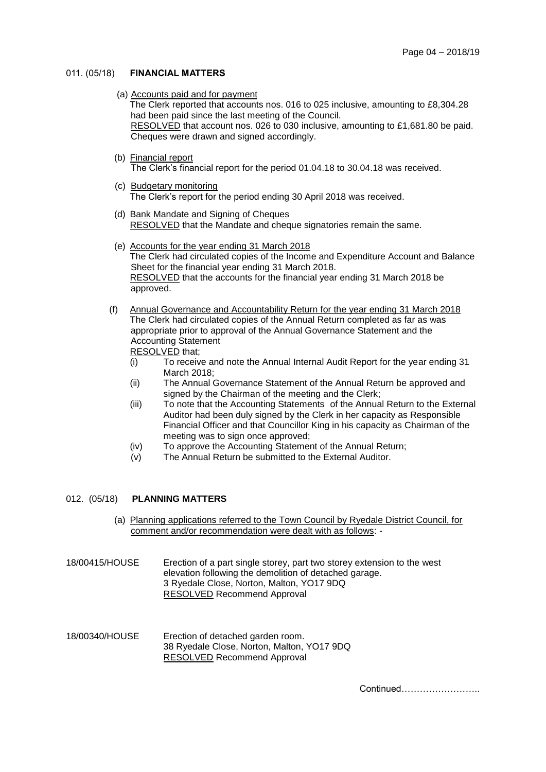### 011. (05/18) **FINANCIAL MATTERS**

(a) Accounts paid and for payment

The Clerk reported that accounts nos. 016 to 025 inclusive, amounting to £8,304.28 had been paid since the last meeting of the Council. RESOLVED that account nos. 026 to 030 inclusive, amounting to £1,681.80 be paid. Cheques were drawn and signed accordingly.

- (b) Financial report The Clerk's financial report for the period 01.04.18 to 30.04.18 was received.
- (c) Budgetary monitoring The Clerk's report for the period ending 30 April 2018 was received.
- (d) Bank Mandate and Signing of Cheques RESOLVED that the Mandate and cheque signatories remain the same.
- (e) Accounts for the year ending 31 March 2018 The Clerk had circulated copies of the Income and Expenditure Account and Balance Sheet for the financial year ending 31 March 2018. RESOLVED that the accounts for the financial year ending 31 March 2018 be approved.
- (f) Annual Governance and Accountability Return for the year ending 31 March 2018 The Clerk had circulated copies of the Annual Return completed as far as was appropriate prior to approval of the Annual Governance Statement and the Accounting Statement

RESOLVED that;

- (i) To receive and note the Annual Internal Audit Report for the year ending 31 March 2018;
- (ii) The Annual Governance Statement of the Annual Return be approved and signed by the Chairman of the meeting and the Clerk;
- (iii) To note that the Accounting Statements of the Annual Return to the External Auditor had been duly signed by the Clerk in her capacity as Responsible Financial Officer and that Councillor King in his capacity as Chairman of the meeting was to sign once approved;
- (iv) To approve the Accounting Statement of the Annual Return;
- $(v)$  The Annual Return be submitted to the External Auditor.

# 012. (05/18) **PLANNING MATTERS**

- (a) Planning applications referred to the Town Council by Ryedale District Council, for comment and/or recommendation were dealt with as follows: -
- 18/00415/HOUSE Erection of a part single storey, part two storey extension to the west elevation following the demolition of detached garage. 3 Ryedale Close, Norton, Malton, YO17 9DQ RESOLVED Recommend Approval
- 18/00340/HOUSE Erection of detached garden room. 38 Ryedale Close, Norton, Malton, YO17 9DQ RESOLVED Recommend Approval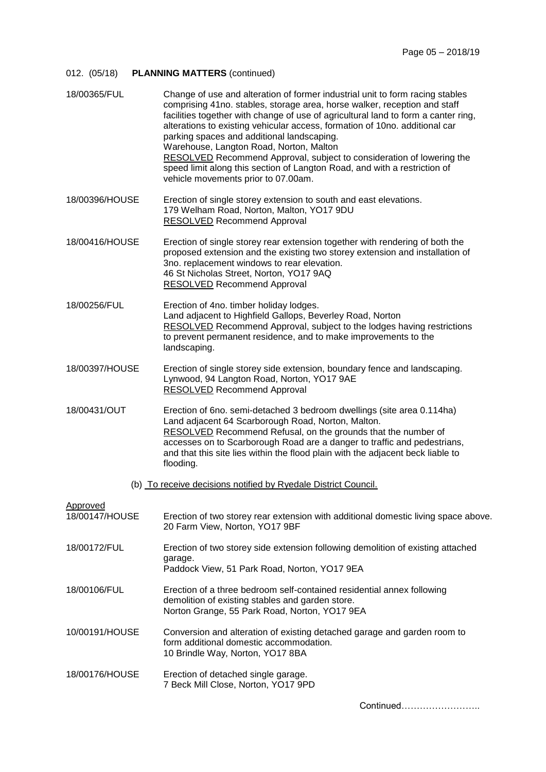# 012. (05/18) **PLANNING MATTERS** (continued)

| 18/00365/FUL               | Change of use and alteration of former industrial unit to form racing stables<br>comprising 41no. stables, storage area, horse walker, reception and staff<br>facilities together with change of use of agricultural land to form a canter ring,<br>alterations to existing vehicular access, formation of 10no. additional car<br>parking spaces and additional landscaping.<br>Warehouse, Langton Road, Norton, Malton<br>RESOLVED Recommend Approval, subject to consideration of lowering the<br>speed limit along this section of Langton Road, and with a restriction of<br>vehicle movements prior to 07.00am. |
|----------------------------|-----------------------------------------------------------------------------------------------------------------------------------------------------------------------------------------------------------------------------------------------------------------------------------------------------------------------------------------------------------------------------------------------------------------------------------------------------------------------------------------------------------------------------------------------------------------------------------------------------------------------|
| 18/00396/HOUSE             | Erection of single storey extension to south and east elevations.<br>179 Welham Road, Norton, Malton, YO17 9DU<br><b>RESOLVED Recommend Approval</b>                                                                                                                                                                                                                                                                                                                                                                                                                                                                  |
| 18/00416/HOUSE             | Erection of single storey rear extension together with rendering of both the<br>proposed extension and the existing two storey extension and installation of<br>3no. replacement windows to rear elevation.<br>46 St Nicholas Street, Norton, YO17 9AQ<br><b>RESOLVED</b> Recommend Approval                                                                                                                                                                                                                                                                                                                          |
| 18/00256/FUL               | Erection of 4no. timber holiday lodges.<br>Land adjacent to Highfield Gallops, Beverley Road, Norton<br><b>RESOLVED</b> Recommend Approval, subject to the lodges having restrictions<br>to prevent permanent residence, and to make improvements to the<br>landscaping.                                                                                                                                                                                                                                                                                                                                              |
| 18/00397/HOUSE             | Erection of single storey side extension, boundary fence and landscaping.<br>Lynwood, 94 Langton Road, Norton, YO17 9AE<br><b>RESOLVED</b> Recommend Approval                                                                                                                                                                                                                                                                                                                                                                                                                                                         |
| 18/00431/OUT               | Erection of 6no. semi-detached 3 bedroom dwellings (site area 0.114ha)<br>Land adjacent 64 Scarborough Road, Norton, Malton.<br>RESOLVED Recommend Refusal, on the grounds that the number of<br>accesses on to Scarborough Road are a danger to traffic and pedestrians,<br>and that this site lies within the flood plain with the adjacent beck liable to<br>flooding.                                                                                                                                                                                                                                             |
|                            | (b) To receive decisions notified by Ryedale District Council.                                                                                                                                                                                                                                                                                                                                                                                                                                                                                                                                                        |
| Approved<br>18/00147/HOUSE | Erection of two storey rear extension with additional domestic living space above.<br>20 Farm View, Norton, YO17 9BF                                                                                                                                                                                                                                                                                                                                                                                                                                                                                                  |
| 18/00172/FUL               | Erection of two storey side extension following demolition of existing attached<br>garage.<br>Paddock View, 51 Park Road, Norton, YO17 9EA                                                                                                                                                                                                                                                                                                                                                                                                                                                                            |
| 18/00106/FUL               | Erection of a three bedroom self-contained residential annex following<br>demolition of existing stables and garden store.<br>Norton Grange, 55 Park Road, Norton, YO17 9EA                                                                                                                                                                                                                                                                                                                                                                                                                                           |
| 10/00191/HOUSE             | Conversion and alteration of existing detached garage and garden room to<br>form additional domestic accommodation.<br>10 Brindle Way, Norton, YO17 8BA                                                                                                                                                                                                                                                                                                                                                                                                                                                               |
| 18/00176/HOUSE             | Erection of detached single garage.<br>7 Beck Mill Close, Norton, YO17 9PD                                                                                                                                                                                                                                                                                                                                                                                                                                                                                                                                            |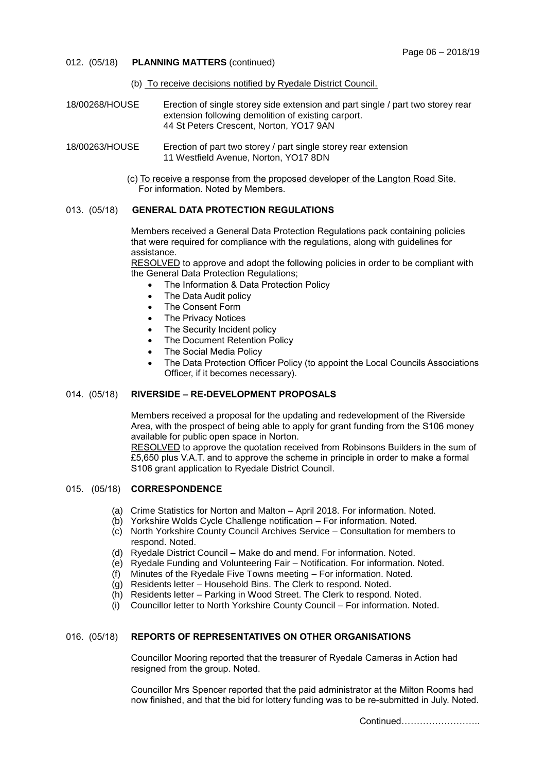- 012. (05/18) **PLANNING MATTERS** (continued)
	- (b) To receive decisions notified by Ryedale District Council.
- 18/00268/HOUSE Erection of single storey side extension and part single / part two storey rear extension following demolition of existing carport. 44 St Peters Crescent, Norton, YO17 9AN
- 18/00263/HOUSE Erection of part two storey / part single storey rear extension 11 Westfield Avenue, Norton, YO17 8DN
	- (c) To receive a response from the proposed developer of the Langton Road Site. For information. Noted by Members.

## 013. (05/18) **GENERAL DATA PROTECTION REGULATIONS**

Members received a General Data Protection Regulations pack containing policies that were required for compliance with the regulations, along with guidelines for assistance.

RESOLVED to approve and adopt the following policies in order to be compliant with the General Data Protection Regulations;

- The Information & Data Protection Policy
- The Data Audit policy
- The Consent Form
- The Privacy Notices
- The Security Incident policy
- The Document Retention Policy
- The Social Media Policy
- The Data Protection Officer Policy (to appoint the Local Councils Associations Officer, if it becomes necessary).

#### 014. (05/18) **RIVERSIDE – RE-DEVELOPMENT PROPOSALS**

Members received a proposal for the updating and redevelopment of the Riverside Area, with the prospect of being able to apply for grant funding from the S106 money available for public open space in Norton.

RESOLVED to approve the quotation received from Robinsons Builders in the sum of £5,650 plus V.A.T. and to approve the scheme in principle in order to make a formal S106 grant application to Ryedale District Council.

#### 015. (05/18) **CORRESPONDENCE**

- (a) Crime Statistics for Norton and Malton April 2018. For information. Noted.
- (b) Yorkshire Wolds Cycle Challenge notification For information. Noted.
- (c) North Yorkshire County Council Archives Service Consultation for members to respond. Noted.
- (d) Ryedale District Council Make do and mend. For information. Noted.
- (e) Ryedale Funding and Volunteering Fair Notification. For information. Noted.
- (f) Minutes of the Ryedale Five Towns meeting For information. Noted.
- (g) Residents letter Household Bins. The Clerk to respond. Noted.
- (h) Residents letter Parking in Wood Street. The Clerk to respond. Noted.
- (i) Councillor letter to North Yorkshire County Council For information. Noted.

# 016. (05/18) **REPORTS OF REPRESENTATIVES ON OTHER ORGANISATIONS**

Councillor Mooring reported that the treasurer of Ryedale Cameras in Action had resigned from the group. Noted.

Councillor Mrs Spencer reported that the paid administrator at the Milton Rooms had now finished, and that the bid for lottery funding was to be re-submitted in July. Noted.